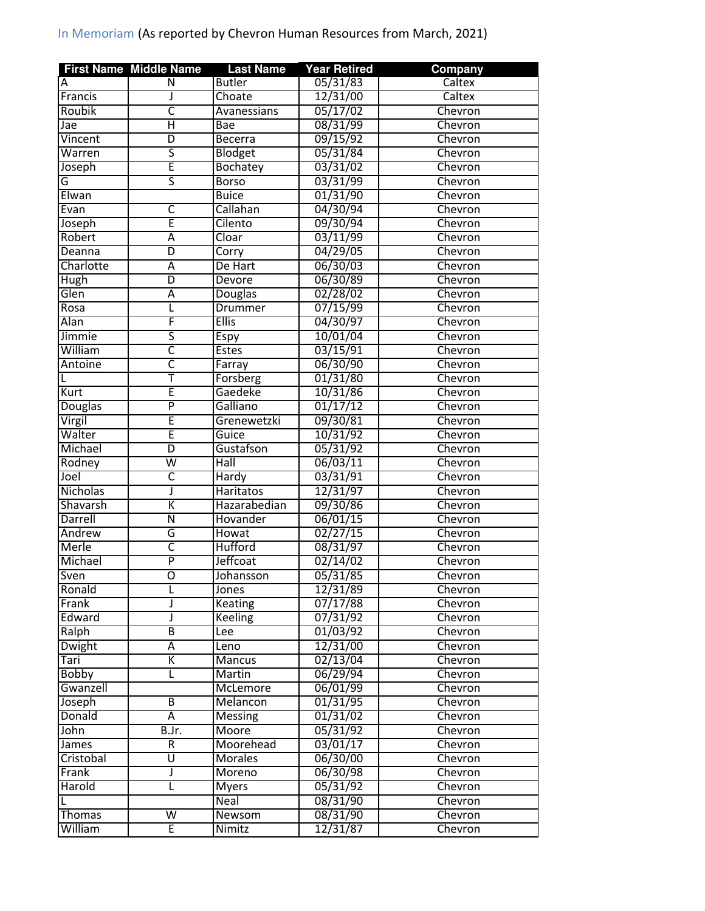|                 | <b>First Name Middle Name</b> | <b>Last Name</b> | <b>Year Retired</b>  | <b>Company</b> |
|-----------------|-------------------------------|------------------|----------------------|----------------|
| A               | N                             | <b>Butler</b>    | 05/31/83             | Caltex         |
| Francis         | J                             | Choate           | 12/31/00             | Caltex         |
| Roubik          | С                             | Avanessians      | 05/17/02             | Chevron        |
| Jae             | $\overline{\mathsf{H}}$       | Bae              | 08/31/99             | Chevron        |
| Vincent         | $\overline{\mathsf{D}}$       | <b>Becerra</b>   | 09/15/92             | Chevron        |
| Warren          | ς                             | Blodget          | 05/31/84             | Chevron        |
| Joseph          | Ē                             | Bochatey         | 03/31/02             | Chevron        |
| G               | ς                             | <b>Borso</b>     | 03/31/99             | Chevron        |
| Elwan           |                               | <b>Buice</b>     | 01/31/90             | Chevron        |
| Evan            | $\overline{\mathsf{C}}$       | Callahan         | 04/30/94             | Chevron        |
| Joseph          | Ē                             | Cilento          | 09/30/94             | Chevron        |
| Robert          | Α                             | Cloar            | 03/11/99             | Chevron        |
| Deanna          | $\overline{D}$                | Corry            | 04/29/05             | Chevron        |
| Charlotte       | Ā                             | De Hart          | 06/30/03             | Chevron        |
| <b>Hugh</b>     | $\overline{D}$                | Devore           | 06/30/89             | Chevron        |
| Glen            | Α                             | Douglas          | 02/28/02             | Chevron        |
| Rosa            | L                             | Drummer          | 07/15/99             | Chevron        |
| Alan            | F                             | <b>Ellis</b>     | 04/30/97             | Chevron        |
| Jimmie          | ς                             | Espy             | 10/01/04             | Chevron        |
| William         | $\overline{\mathsf{C}}$       | <b>Estes</b>     | 03/15/91             | Chevron        |
| Antoine         | $\overline{\mathsf{c}}$       | Farray           | 06/30/90             | Chevron        |
|                 | Ŧ                             | Forsberg         | 01/31/80             | Chevron        |
| Kurt            | Ē                             | Gaedeke          | 10/31/86             | Chevron        |
| Douglas         | $\overline{\mathsf{P}}$       | Galliano         | 01/17/12             | Chevron        |
| Virgil          | Ē                             | Grenewetzki      | 09/30/81             | Chevron        |
| Walter          | Ē                             | Guice            | 10/31/92             | Chevron        |
| Michael         | $\overline{D}$                | Gustafson        | 05/31/92             | Chevron        |
| Rodney          | W                             | Hall             | 06/03/11             | Chevron        |
| Joel            | $\overline{\mathsf{C}}$       | Hardy            | 03/31/91             | Chevron        |
| <b>Nicholas</b> | J                             | <b>Haritatos</b> | 12/31/97             | Chevron        |
| Shavarsh        | Κ                             | Hazarabedian     | 09/30/86             | Chevron        |
| Darrell         | $\overline{\mathsf{N}}$       | Hovander         | 06/01/15             | Chevron        |
| Andrew          | G                             | Howat            | 02/27/15             | Chevron        |
| Merle           | C                             | <b>Hufford</b>   | 08/31/97             | Chevron        |
| Michael         | $\overline{\mathsf{P}}$       | Jeffcoat         | 02/14/02             | Chevron        |
| Sven            | $\overline{\mathrm{o}}$       |                  | 05/31/85             | Chevron        |
|                 |                               | Johansson        |                      |                |
| Ronald<br>Frank | L                             | Jones            | 12/31/89             | Chevron        |
| Edward          | J                             | Keating          | 07/17/88<br>07/31/92 | Chevron        |
|                 | J<br>$\overline{B}$           | <b>Keeling</b>   | 01/03/92             | Chevron        |
| Ralph           |                               | Lee              |                      | Chevron        |
| <b>Dwight</b>   | $\overline{A}$                | Leno             | 12/31/00             | Chevron        |
| Tari            | Κ                             | <b>Mancus</b>    | 02/13/04             | Chevron        |
| <b>Bobby</b>    | L                             | Martin           | 06/29/94             | Chevron        |
| Gwanzell        |                               | McLemore         | 06/01/99             | Chevron        |
| Joseph          | $\overline{\mathsf{B}}$       | Melancon         | 01/31/95             | Chevron        |
| Donald          | $\overline{A}$                | Messing          | 01/31/02             | Chevron        |
| John            | B.Jr.                         | Moore            | 05/31/92             | Chevron        |
| James           | R                             | Moorehead        | 03/01/17             | Chevron        |
| Cristobal       | Ū                             | <b>Morales</b>   | 06/30/00             | Chevron        |
| Frank           | J                             | Moreno           | 06/30/98             | Chevron        |
| Harold          | L                             | <b>Myers</b>     | 05/31/92             | Chevron        |
| L               |                               | Neal             | 08/31/90             | Chevron        |
| <b>Thomas</b>   | $\overline{\mathsf{W}}$       | Newsom           | 08/31/90             | Chevron        |
| William         | Ē                             | Nimitz           | 12/31/87             | Chevron        |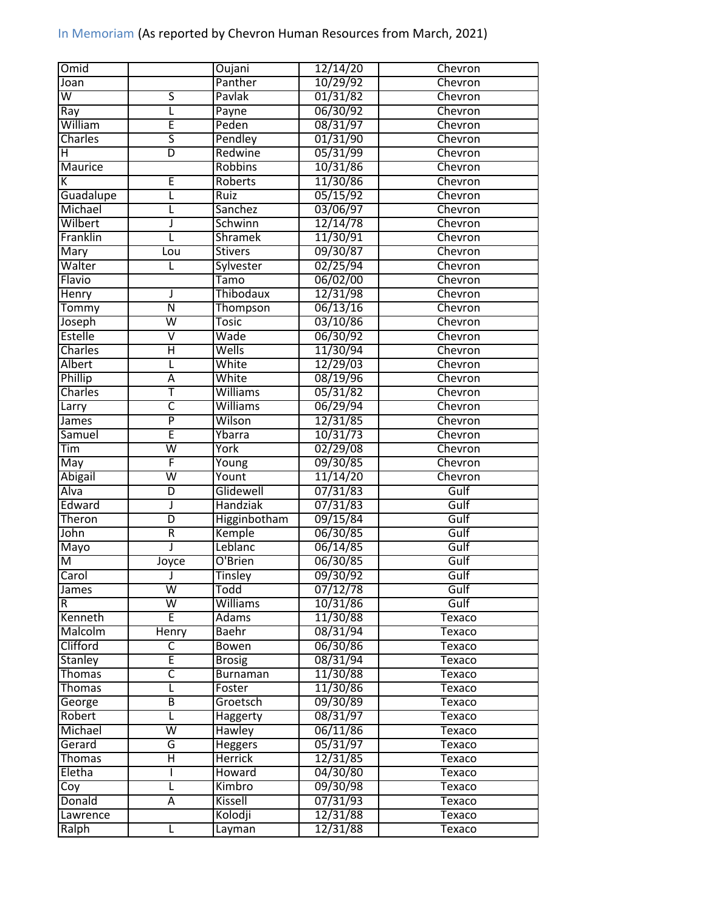| 10/29/92<br>Panther<br>Chevron<br>Joan<br>$\overline{\mathsf{s}}$<br>$\overline{\mathsf{W}}$<br>Pavlak<br>01/31/82<br>Chevron<br>06/30/92<br>L<br>Chevron<br>Ray<br>Payne<br>William<br>Ē<br>Peden<br>08/31/97<br>Chevron<br>$\overline{\mathsf{s}}$<br>Pendley<br>01/31/90<br><b>Charles</b><br>Chevron<br>D<br>Redwine<br>05/31/99<br>Chevron<br>н<br>Maurice<br><b>Robbins</b><br>10/31/86<br>Chevron<br>E<br>Roberts<br>11/30/86<br>Chevron<br>ĸ<br>05/15/92<br>Guadalupe<br>Chevron<br>Ruiz<br>L<br>03/06/97<br>Michael<br>Sanchez<br>Chevron<br>L<br>Wilbert<br>12/14/78<br>J<br>Schwinn<br>Chevron<br>Franklin<br>11/30/91<br>L<br><b>Shramek</b><br>Chevron<br>09/30/87<br>Mary<br><b>Stivers</b><br>Chevron<br>Lou<br>Walter<br>02/25/94<br>Sylvester<br>L<br>Chevron<br>06/02/00<br>Flavio<br>Tamo<br>Chevron<br>Thibodaux<br>12/31/98<br>Henry<br>Chevron<br>J<br>06/13/16<br>Ñ<br>Tommy<br>Thompson<br>Chevron |  |
|----------------------------------------------------------------------------------------------------------------------------------------------------------------------------------------------------------------------------------------------------------------------------------------------------------------------------------------------------------------------------------------------------------------------------------------------------------------------------------------------------------------------------------------------------------------------------------------------------------------------------------------------------------------------------------------------------------------------------------------------------------------------------------------------------------------------------------------------------------------------------------------------------------------------------|--|
|                                                                                                                                                                                                                                                                                                                                                                                                                                                                                                                                                                                                                                                                                                                                                                                                                                                                                                                            |  |
|                                                                                                                                                                                                                                                                                                                                                                                                                                                                                                                                                                                                                                                                                                                                                                                                                                                                                                                            |  |
|                                                                                                                                                                                                                                                                                                                                                                                                                                                                                                                                                                                                                                                                                                                                                                                                                                                                                                                            |  |
|                                                                                                                                                                                                                                                                                                                                                                                                                                                                                                                                                                                                                                                                                                                                                                                                                                                                                                                            |  |
|                                                                                                                                                                                                                                                                                                                                                                                                                                                                                                                                                                                                                                                                                                                                                                                                                                                                                                                            |  |
|                                                                                                                                                                                                                                                                                                                                                                                                                                                                                                                                                                                                                                                                                                                                                                                                                                                                                                                            |  |
|                                                                                                                                                                                                                                                                                                                                                                                                                                                                                                                                                                                                                                                                                                                                                                                                                                                                                                                            |  |
|                                                                                                                                                                                                                                                                                                                                                                                                                                                                                                                                                                                                                                                                                                                                                                                                                                                                                                                            |  |
|                                                                                                                                                                                                                                                                                                                                                                                                                                                                                                                                                                                                                                                                                                                                                                                                                                                                                                                            |  |
|                                                                                                                                                                                                                                                                                                                                                                                                                                                                                                                                                                                                                                                                                                                                                                                                                                                                                                                            |  |
|                                                                                                                                                                                                                                                                                                                                                                                                                                                                                                                                                                                                                                                                                                                                                                                                                                                                                                                            |  |
|                                                                                                                                                                                                                                                                                                                                                                                                                                                                                                                                                                                                                                                                                                                                                                                                                                                                                                                            |  |
|                                                                                                                                                                                                                                                                                                                                                                                                                                                                                                                                                                                                                                                                                                                                                                                                                                                                                                                            |  |
|                                                                                                                                                                                                                                                                                                                                                                                                                                                                                                                                                                                                                                                                                                                                                                                                                                                                                                                            |  |
|                                                                                                                                                                                                                                                                                                                                                                                                                                                                                                                                                                                                                                                                                                                                                                                                                                                                                                                            |  |
|                                                                                                                                                                                                                                                                                                                                                                                                                                                                                                                                                                                                                                                                                                                                                                                                                                                                                                                            |  |
|                                                                                                                                                                                                                                                                                                                                                                                                                                                                                                                                                                                                                                                                                                                                                                                                                                                                                                                            |  |
|                                                                                                                                                                                                                                                                                                                                                                                                                                                                                                                                                                                                                                                                                                                                                                                                                                                                                                                            |  |
| 03/10/86<br>Joseph<br>$\overline{\mathsf{W}}$<br><b>Tosic</b><br>Chevron                                                                                                                                                                                                                                                                                                                                                                                                                                                                                                                                                                                                                                                                                                                                                                                                                                                   |  |
| 06/30/92<br><b>Estelle</b><br>$\overline{\mathsf{v}}$<br>Wade<br>Chevron                                                                                                                                                                                                                                                                                                                                                                                                                                                                                                                                                                                                                                                                                                                                                                                                                                                   |  |
| 11/30/94<br>Charles<br>Ή<br>Wells<br>Chevron                                                                                                                                                                                                                                                                                                                                                                                                                                                                                                                                                                                                                                                                                                                                                                                                                                                                               |  |
| 12/29/03<br>Albert<br>White<br>Chevron<br>L                                                                                                                                                                                                                                                                                                                                                                                                                                                                                                                                                                                                                                                                                                                                                                                                                                                                                |  |
| Phillip<br>08/19/96<br>White<br>Ā<br>Chevron                                                                                                                                                                                                                                                                                                                                                                                                                                                                                                                                                                                                                                                                                                                                                                                                                                                                               |  |
| Ŧ<br>Charles<br>05/31/82<br><b>Williams</b><br>Chevron                                                                                                                                                                                                                                                                                                                                                                                                                                                                                                                                                                                                                                                                                                                                                                                                                                                                     |  |
| $\overline{\mathsf{c}}$<br><b>Williams</b><br>06/29/94<br>Chevron<br>Larry                                                                                                                                                                                                                                                                                                                                                                                                                                                                                                                                                                                                                                                                                                                                                                                                                                                 |  |
| $\overline{\mathsf{P}}$<br>Wilson<br>12/31/85<br>Chevron<br>James                                                                                                                                                                                                                                                                                                                                                                                                                                                                                                                                                                                                                                                                                                                                                                                                                                                          |  |
| Ē<br>Ybarra<br>10/31/73<br>Chevron<br>Samuel                                                                                                                                                                                                                                                                                                                                                                                                                                                                                                                                                                                                                                                                                                                                                                                                                                                                               |  |
| $\overline{\mathsf{w}}$<br>York<br>Tim<br>02/29/08<br>Chevron                                                                                                                                                                                                                                                                                                                                                                                                                                                                                                                                                                                                                                                                                                                                                                                                                                                              |  |
| F<br>09/30/85<br>Chevron<br>May<br>Young                                                                                                                                                                                                                                                                                                                                                                                                                                                                                                                                                                                                                                                                                                                                                                                                                                                                                   |  |
| <b>Abigail</b><br>$\overline{\mathsf{w}}$<br>Yount<br>11/14/20<br>Chevron                                                                                                                                                                                                                                                                                                                                                                                                                                                                                                                                                                                                                                                                                                                                                                                                                                                  |  |
| Glidewell<br>Gulf<br>Alva<br>07/31/83<br>D                                                                                                                                                                                                                                                                                                                                                                                                                                                                                                                                                                                                                                                                                                                                                                                                                                                                                 |  |
| Edward<br><b>Handziak</b><br>Gulf<br>07/31/83<br>J                                                                                                                                                                                                                                                                                                                                                                                                                                                                                                                                                                                                                                                                                                                                                                                                                                                                         |  |
| Theron<br>Gulf<br>$\overline{D}$<br>Higginbotham<br>09/15/84                                                                                                                                                                                                                                                                                                                                                                                                                                                                                                                                                                                                                                                                                                                                                                                                                                                               |  |
| John<br>R<br>Kemple<br>06/30/85<br>Gulf                                                                                                                                                                                                                                                                                                                                                                                                                                                                                                                                                                                                                                                                                                                                                                                                                                                                                    |  |
| Leblanc<br>06/14/85<br>Mayo<br>Gulf<br>ı                                                                                                                                                                                                                                                                                                                                                                                                                                                                                                                                                                                                                                                                                                                                                                                                                                                                                   |  |
| O'Brien<br>06/30/85<br>$\overline{\mathsf{M}}$<br>Gulf                                                                                                                                                                                                                                                                                                                                                                                                                                                                                                                                                                                                                                                                                                                                                                                                                                                                     |  |
| Joyce<br>Carol<br>Gulf                                                                                                                                                                                                                                                                                                                                                                                                                                                                                                                                                                                                                                                                                                                                                                                                                                                                                                     |  |
| 09/30/92<br><b>Tinsley</b>                                                                                                                                                                                                                                                                                                                                                                                                                                                                                                                                                                                                                                                                                                                                                                                                                                                                                                 |  |
| $\overline{\mathsf{W}}$<br>07/12/78<br>Gulf<br>Todd<br>James                                                                                                                                                                                                                                                                                                                                                                                                                                                                                                                                                                                                                                                                                                                                                                                                                                                               |  |
| $\overline{\mathsf{W}}$<br>Williams<br>10/31/86<br>Gulf<br>R.                                                                                                                                                                                                                                                                                                                                                                                                                                                                                                                                                                                                                                                                                                                                                                                                                                                              |  |
| E<br>11/30/88<br>Kenneth<br><b>Adams</b><br>Texaco                                                                                                                                                                                                                                                                                                                                                                                                                                                                                                                                                                                                                                                                                                                                                                                                                                                                         |  |
| Malcolm<br><b>Baehr</b><br>08/31/94<br>Henry<br>Texaco                                                                                                                                                                                                                                                                                                                                                                                                                                                                                                                                                                                                                                                                                                                                                                                                                                                                     |  |
| Clifford<br>$\overline{\mathsf{C}}$<br>06/30/86<br><b>Bowen</b><br>Texaco                                                                                                                                                                                                                                                                                                                                                                                                                                                                                                                                                                                                                                                                                                                                                                                                                                                  |  |
| Ē<br>08/31/94<br><b>Stanley</b><br><b>Brosig</b><br>Texaco                                                                                                                                                                                                                                                                                                                                                                                                                                                                                                                                                                                                                                                                                                                                                                                                                                                                 |  |
| $\overline{\mathsf{C}}$<br>11/30/88<br>Thomas<br>Burnaman<br>Texaco                                                                                                                                                                                                                                                                                                                                                                                                                                                                                                                                                                                                                                                                                                                                                                                                                                                        |  |
| 11/30/86<br>L<br><b>Thomas</b><br>Foster<br>Texaco                                                                                                                                                                                                                                                                                                                                                                                                                                                                                                                                                                                                                                                                                                                                                                                                                                                                         |  |
| 09/30/89<br>B<br>Groetsch<br>Texaco<br>George                                                                                                                                                                                                                                                                                                                                                                                                                                                                                                                                                                                                                                                                                                                                                                                                                                                                              |  |
| 08/31/97<br>Robert<br>Г<br>Haggerty<br>Texaco                                                                                                                                                                                                                                                                                                                                                                                                                                                                                                                                                                                                                                                                                                                                                                                                                                                                              |  |
| W<br><b>Hawley</b><br>06/11/86<br>Michael<br>Texaco                                                                                                                                                                                                                                                                                                                                                                                                                                                                                                                                                                                                                                                                                                                                                                                                                                                                        |  |
| G<br>05/31/97<br>Gerard<br>Heggers<br>Texaco                                                                                                                                                                                                                                                                                                                                                                                                                                                                                                                                                                                                                                                                                                                                                                                                                                                                               |  |
| $\overline{\mathsf{H}}$<br>Herrick<br>12/31/85<br><b>Thomas</b><br>Texaco                                                                                                                                                                                                                                                                                                                                                                                                                                                                                                                                                                                                                                                                                                                                                                                                                                                  |  |
| 04/30/80<br>Eletha<br>Howard<br><b>Texaco</b>                                                                                                                                                                                                                                                                                                                                                                                                                                                                                                                                                                                                                                                                                                                                                                                                                                                                              |  |
| L<br>Kimbro<br>09/30/98<br>Texaco<br>Coy                                                                                                                                                                                                                                                                                                                                                                                                                                                                                                                                                                                                                                                                                                                                                                                                                                                                                   |  |
| Donald<br><b>Kissell</b><br>07/31/93<br>А<br>Texaco                                                                                                                                                                                                                                                                                                                                                                                                                                                                                                                                                                                                                                                                                                                                                                                                                                                                        |  |
| 12/31/88<br>Kolodji<br>Lawrence<br>Texaco                                                                                                                                                                                                                                                                                                                                                                                                                                                                                                                                                                                                                                                                                                                                                                                                                                                                                  |  |
| 12/31/88<br>Ralph<br>L<br>Layman<br>Texaco                                                                                                                                                                                                                                                                                                                                                                                                                                                                                                                                                                                                                                                                                                                                                                                                                                                                                 |  |